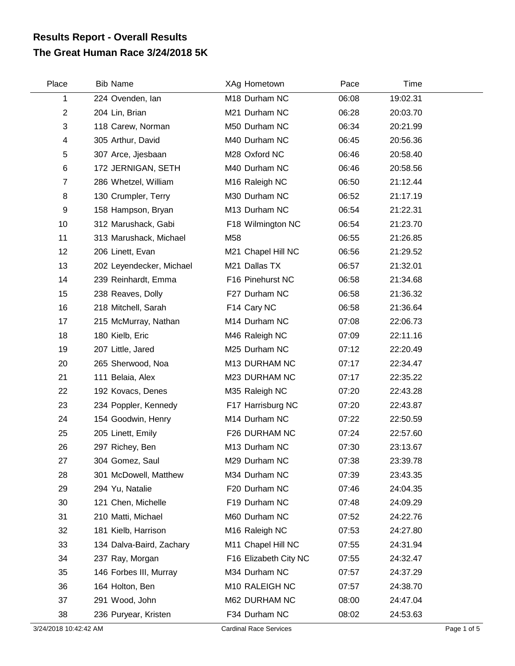## **The Great Human Race 3/24/2018 5K Results Report - Overall Results**

| Place          | <b>Bib Name</b>          | XAg Hometown               | Pace  | Time     |  |
|----------------|--------------------------|----------------------------|-------|----------|--|
| 1              | 224 Ovenden, lan         | M18 Durham NC              | 06:08 | 19:02.31 |  |
| $\overline{c}$ | 204 Lin, Brian           | M21 Durham NC              | 06:28 | 20:03.70 |  |
| 3              | 118 Carew, Norman        | M50 Durham NC              | 06:34 | 20:21.99 |  |
| 4              | 305 Arthur, David        | M40 Durham NC              | 06:45 | 20:56.36 |  |
| 5              | 307 Arce, Jjesbaan       | M28 Oxford NC              | 06:46 | 20:58.40 |  |
| $\,6$          | 172 JERNIGAN, SETH       | M40 Durham NC              | 06:46 | 20:58.56 |  |
| $\overline{7}$ | 286 Whetzel, William     | M <sub>16</sub> Raleigh NC | 06:50 | 21:12.44 |  |
| 8              | 130 Crumpler, Terry      | M30 Durham NC              | 06:52 | 21:17.19 |  |
| 9              | 158 Hampson, Bryan       | M13 Durham NC              | 06:54 | 21:22.31 |  |
| 10             | 312 Marushack, Gabi      | F18 Wilmington NC          | 06:54 | 21:23.70 |  |
| 11             | 313 Marushack, Michael   | M58                        | 06:55 | 21:26.85 |  |
| 12             | 206 Linett, Evan         | M21 Chapel Hill NC         | 06:56 | 21:29.52 |  |
| 13             | 202 Leyendecker, Michael | M21 Dallas TX              | 06:57 | 21:32.01 |  |
| 14             | 239 Reinhardt, Emma      | F16 Pinehurst NC           | 06:58 | 21:34.68 |  |
| 15             | 238 Reaves, Dolly        | F27 Durham NC              | 06:58 | 21:36.32 |  |
| 16             | 218 Mitchell, Sarah      | F14 Cary NC                | 06:58 | 21:36.64 |  |
| 17             | 215 McMurray, Nathan     | M14 Durham NC              | 07:08 | 22:06.73 |  |
| 18             | 180 Kielb, Eric          | M46 Raleigh NC             | 07:09 | 22:11.16 |  |
| 19             | 207 Little, Jared        | M25 Durham NC              | 07:12 | 22:20.49 |  |
| 20             | 265 Sherwood, Noa        | M13 DURHAM NC              | 07:17 | 22:34.47 |  |
| 21             | 111 Belaia, Alex         | M23 DURHAM NC              | 07:17 | 22:35.22 |  |
| 22             | 192 Kovacs, Denes        | M35 Raleigh NC             | 07:20 | 22:43.28 |  |
| 23             | 234 Poppler, Kennedy     | F17 Harrisburg NC          | 07:20 | 22:43.87 |  |
| 24             | 154 Goodwin, Henry       | M14 Durham NC              | 07:22 | 22:50.59 |  |
| 25             | 205 Linett, Emily        | F26 DURHAM NC              | 07:24 | 22:57.60 |  |
| 26             | 297 Richey, Ben          | M13 Durham NC              | 07:30 | 23:13.67 |  |
| 27             | 304 Gomez, Saul          | M29 Durham NC              | 07:38 | 23:39.78 |  |
| 28             | 301 McDowell, Matthew    | M34 Durham NC              | 07:39 | 23:43.35 |  |
| 29             | 294 Yu, Natalie          | F20 Durham NC              | 07:46 | 24:04.35 |  |
| 30             | 121 Chen, Michelle       | F19 Durham NC              | 07:48 | 24:09.29 |  |
| 31             | 210 Matti, Michael       | M60 Durham NC              | 07:52 | 24:22.76 |  |
| 32             | 181 Kielb, Harrison      | M16 Raleigh NC             | 07:53 | 24:27.80 |  |
| 33             | 134 Dalva-Baird, Zachary | M11 Chapel Hill NC         | 07:55 | 24:31.94 |  |
| 34             | 237 Ray, Morgan          | F16 Elizabeth City NC      | 07:55 | 24:32.47 |  |
| 35             | 146 Forbes III, Murray   | M34 Durham NC              | 07:57 | 24:37.29 |  |
| 36             | 164 Holton, Ben          | M10 RALEIGH NC             | 07:57 | 24:38.70 |  |
| 37             | 291 Wood, John           | M62 DURHAM NC              | 08:00 | 24:47.04 |  |
| 38             | 236 Puryear, Kristen     | F34 Durham NC              | 08:02 | 24:53.63 |  |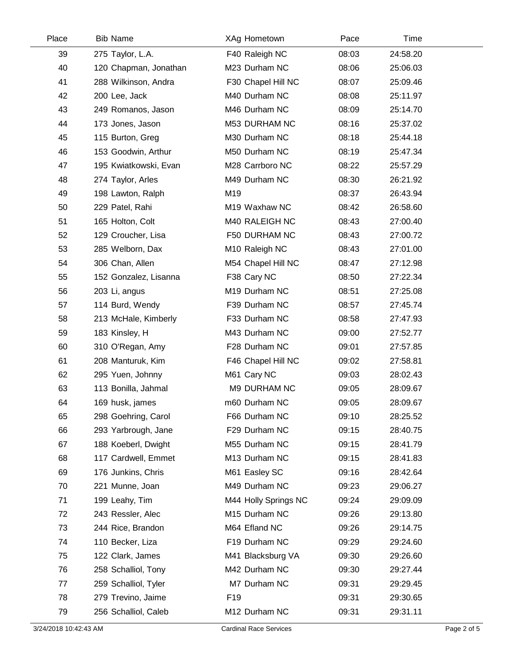| Place | <b>Bib Name</b>       | XAg Hometown         | Pace  | Time     |  |
|-------|-----------------------|----------------------|-------|----------|--|
| 39    | 275 Taylor, L.A.      | F40 Raleigh NC       | 08:03 | 24:58.20 |  |
| 40    | 120 Chapman, Jonathan | M23 Durham NC        | 08:06 | 25:06.03 |  |
| 41    | 288 Wilkinson, Andra  | F30 Chapel Hill NC   | 08:07 | 25:09.46 |  |
| 42    | 200 Lee, Jack         | M40 Durham NC        | 08:08 | 25:11.97 |  |
| 43    | 249 Romanos, Jason    | M46 Durham NC        | 08:09 | 25:14.70 |  |
| 44    | 173 Jones, Jason      | M53 DURHAM NC        | 08:16 | 25:37.02 |  |
| 45    | 115 Burton, Greg      | M30 Durham NC        | 08:18 | 25:44.18 |  |
| 46    | 153 Goodwin, Arthur   | M50 Durham NC        | 08:19 | 25:47.34 |  |
| 47    | 195 Kwiatkowski, Evan | M28 Carrboro NC      | 08:22 | 25:57.29 |  |
| 48    | 274 Taylor, Arles     | M49 Durham NC        | 08:30 | 26:21.92 |  |
| 49    | 198 Lawton, Ralph     | M19                  | 08:37 | 26:43.94 |  |
| 50    | 229 Patel, Rahi       | M19 Waxhaw NC        | 08:42 | 26:58.60 |  |
| 51    | 165 Holton, Colt      | M40 RALEIGH NC       | 08:43 | 27:00.40 |  |
| 52    | 129 Croucher, Lisa    | F50 DURHAM NC        | 08:43 | 27:00.72 |  |
| 53    | 285 Welborn, Dax      | M10 Raleigh NC       | 08:43 | 27:01.00 |  |
| 54    | 306 Chan, Allen       | M54 Chapel Hill NC   | 08:47 | 27:12.98 |  |
| 55    | 152 Gonzalez, Lisanna | F38 Cary NC          | 08:50 | 27:22.34 |  |
| 56    | 203 Li, angus         | M19 Durham NC        | 08:51 | 27:25.08 |  |
| 57    | 114 Burd, Wendy       | F39 Durham NC        | 08:57 | 27:45.74 |  |
| 58    | 213 McHale, Kimberly  | F33 Durham NC        | 08:58 | 27:47.93 |  |
| 59    | 183 Kinsley, H        | M43 Durham NC        | 09:00 | 27:52.77 |  |
| 60    | 310 O'Regan, Amy      | F28 Durham NC        | 09:01 | 27:57.85 |  |
| 61    | 208 Manturuk, Kim     | F46 Chapel Hill NC   | 09:02 | 27:58.81 |  |
| 62    | 295 Yuen, Johnny      | M61 Cary NC          | 09:03 | 28:02.43 |  |
| 63    | 113 Bonilla, Jahmal   | M9 DURHAM NC         | 09:05 | 28:09.67 |  |
| 64    | 169 husk, james       | m60 Durham NC        | 09:05 | 28:09.67 |  |
| 65    | 298 Goehring, Carol   | F66 Durham NC        | 09:10 | 28:25.52 |  |
| 66    | 293 Yarbrough, Jane   | F29 Durham NC        | 09:15 | 28:40.75 |  |
| 67    | 188 Koeberl, Dwight   | M55 Durham NC        | 09:15 | 28:41.79 |  |
| 68    | 117 Cardwell, Emmet   | M13 Durham NC        | 09:15 | 28:41.83 |  |
| 69    | 176 Junkins, Chris    | M61 Easley SC        | 09:16 | 28:42.64 |  |
| 70    | 221 Munne, Joan       | M49 Durham NC        | 09:23 | 29:06.27 |  |
| 71    | 199 Leahy, Tim        | M44 Holly Springs NC | 09:24 | 29:09.09 |  |
| 72    | 243 Ressler, Alec     | M15 Durham NC        | 09:26 | 29:13.80 |  |
| 73    | 244 Rice, Brandon     | M64 Efland NC        | 09:26 | 29:14.75 |  |
| 74    | 110 Becker, Liza      | F19 Durham NC        | 09:29 | 29:24.60 |  |
| 75    | 122 Clark, James      | M41 Blacksburg VA    | 09:30 | 29:26.60 |  |
| 76    | 258 Schalliol, Tony   | M42 Durham NC        | 09:30 | 29:27.44 |  |
| 77    | 259 Schalliol, Tyler  | M7 Durham NC         | 09:31 | 29:29.45 |  |
| 78    | 279 Trevino, Jaime    | F <sub>19</sub>      | 09:31 | 29:30.65 |  |
| 79    | 256 Schalliol, Caleb  | M12 Durham NC        | 09:31 | 29:31.11 |  |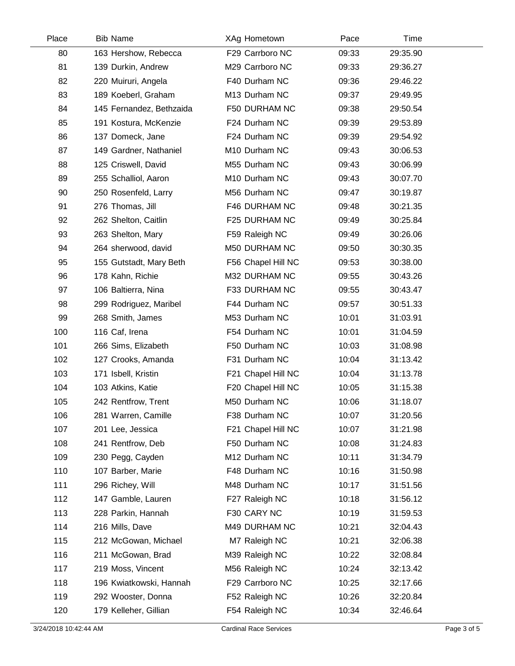| Place | <b>Bib Name</b>          | XAg Hometown       | Pace  | Time     |  |
|-------|--------------------------|--------------------|-------|----------|--|
| 80    | 163 Hershow, Rebecca     | F29 Carrboro NC    | 09:33 | 29:35.90 |  |
| 81    | 139 Durkin, Andrew       | M29 Carrboro NC    | 09:33 | 29:36.27 |  |
| 82    | 220 Muiruri, Angela      | F40 Durham NC      | 09:36 | 29:46.22 |  |
| 83    | 189 Koeberl, Graham      | M13 Durham NC      | 09:37 | 29:49.95 |  |
| 84    | 145 Fernandez, Bethzaida | F50 DURHAM NC      | 09:38 | 29:50.54 |  |
| 85    | 191 Kostura, McKenzie    | F24 Durham NC      | 09:39 | 29:53.89 |  |
| 86    | 137 Domeck, Jane         | F24 Durham NC      | 09:39 | 29:54.92 |  |
| 87    | 149 Gardner, Nathaniel   | M10 Durham NC      | 09:43 | 30:06.53 |  |
| 88    | 125 Criswell, David      | M55 Durham NC      | 09:43 | 30:06.99 |  |
| 89    | 255 Schalliol, Aaron     | M10 Durham NC      | 09:43 | 30:07.70 |  |
| 90    | 250 Rosenfeld, Larry     | M56 Durham NC      | 09:47 | 30:19.87 |  |
| 91    | 276 Thomas, Jill         | F46 DURHAM NC      | 09:48 | 30:21.35 |  |
| 92    | 262 Shelton, Caitlin     | F25 DURHAM NC      | 09:49 | 30:25.84 |  |
| 93    | 263 Shelton, Mary        | F59 Raleigh NC     | 09:49 | 30:26.06 |  |
| 94    | 264 sherwood, david      | M50 DURHAM NC      | 09:50 | 30:30.35 |  |
| 95    | 155 Gutstadt, Mary Beth  | F56 Chapel Hill NC | 09:53 | 30:38.00 |  |
| 96    | 178 Kahn, Richie         | M32 DURHAM NC      | 09:55 | 30:43.26 |  |
| 97    | 106 Baltierra, Nina      | F33 DURHAM NC      | 09:55 | 30:43.47 |  |
| 98    | 299 Rodriguez, Maribel   | F44 Durham NC      | 09:57 | 30:51.33 |  |
| 99    | 268 Smith, James         | M53 Durham NC      | 10:01 | 31:03.91 |  |
| 100   | 116 Caf, Irena           | F54 Durham NC      | 10:01 | 31:04.59 |  |
| 101   | 266 Sims, Elizabeth      | F50 Durham NC      | 10:03 | 31:08.98 |  |
| 102   | 127 Crooks, Amanda       | F31 Durham NC      | 10:04 | 31:13.42 |  |
| 103   | 171 Isbell, Kristin      | F21 Chapel Hill NC | 10:04 | 31:13.78 |  |
| 104   | 103 Atkins, Katie        | F20 Chapel Hill NC | 10:05 | 31:15.38 |  |
| 105   | 242 Rentfrow, Trent      | M50 Durham NC      | 10:06 | 31:18.07 |  |
| 106   | 281 Warren, Camille      | F38 Durham NC      | 10:07 | 31:20.56 |  |
| 107   | 201 Lee, Jessica         | F21 Chapel Hill NC | 10:07 | 31:21.98 |  |
| 108   | 241 Rentfrow, Deb        | F50 Durham NC      | 10:08 | 31:24.83 |  |
| 109   | 230 Pegg, Cayden         | M12 Durham NC      | 10:11 | 31:34.79 |  |
| 110   | 107 Barber, Marie        | F48 Durham NC      | 10:16 | 31:50.98 |  |
| 111   | 296 Richey, Will         | M48 Durham NC      | 10:17 | 31:51.56 |  |
| 112   | 147 Gamble, Lauren       | F27 Raleigh NC     | 10:18 | 31:56.12 |  |
| 113   | 228 Parkin, Hannah       | F30 CARY NC        | 10:19 | 31:59.53 |  |
| 114   | 216 Mills, Dave          | M49 DURHAM NC      | 10:21 | 32:04.43 |  |
| 115   | 212 McGowan, Michael     | M7 Raleigh NC      | 10:21 | 32:06.38 |  |
| 116   | 211 McGowan, Brad        | M39 Raleigh NC     | 10:22 | 32:08.84 |  |
| 117   | 219 Moss, Vincent        | M56 Raleigh NC     | 10:24 | 32:13.42 |  |
| 118   | 196 Kwiatkowski, Hannah  | F29 Carrboro NC    | 10:25 | 32:17.66 |  |
| 119   | 292 Wooster, Donna       | F52 Raleigh NC     | 10:26 | 32:20.84 |  |
| 120   | 179 Kelleher, Gillian    | F54 Raleigh NC     | 10:34 | 32:46.64 |  |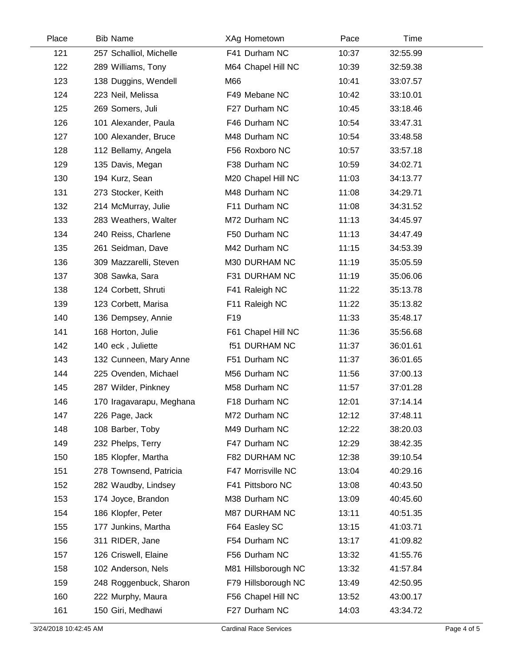| Place | <b>Bib Name</b>          | XAg Hometown         | Pace  | Time     |  |
|-------|--------------------------|----------------------|-------|----------|--|
| 121   | 257 Schalliol, Michelle  | F41 Durham NC        | 10:37 | 32:55.99 |  |
| 122   | 289 Williams, Tony       | M64 Chapel Hill NC   | 10:39 | 32:59.38 |  |
| 123   | 138 Duggins, Wendell     | M66                  | 10:41 | 33:07.57 |  |
| 124   | 223 Neil, Melissa        | F49 Mebane NC        | 10:42 | 33:10.01 |  |
| 125   | 269 Somers, Juli         | F27 Durham NC        | 10:45 | 33:18.46 |  |
| 126   | 101 Alexander, Paula     | F46 Durham NC        | 10:54 | 33:47.31 |  |
| 127   | 100 Alexander, Bruce     | M48 Durham NC        | 10:54 | 33:48.58 |  |
| 128   | 112 Bellamy, Angela      | F56 Roxboro NC       | 10:57 | 33:57.18 |  |
| 129   | 135 Davis, Megan         | F38 Durham NC        | 10:59 | 34:02.71 |  |
| 130   | 194 Kurz, Sean           | M20 Chapel Hill NC   | 11:03 | 34:13.77 |  |
| 131   | 273 Stocker, Keith       | M48 Durham NC        | 11:08 | 34:29.71 |  |
| 132   | 214 McMurray, Julie      | F11 Durham NC        | 11:08 | 34:31.52 |  |
| 133   | 283 Weathers, Walter     | M72 Durham NC        | 11:13 | 34:45.97 |  |
| 134   | 240 Reiss, Charlene      | F50 Durham NC        | 11:13 | 34:47.49 |  |
| 135   | 261 Seidman, Dave        | M42 Durham NC        | 11:15 | 34:53.39 |  |
| 136   | 309 Mazzarelli, Steven   | M30 DURHAM NC        | 11:19 | 35:05.59 |  |
| 137   | 308 Sawka, Sara          | F31 DURHAM NC        | 11:19 | 35:06.06 |  |
| 138   | 124 Corbett, Shruti      | F41 Raleigh NC       | 11:22 | 35:13.78 |  |
| 139   | 123 Corbett, Marisa      | F11 Raleigh NC       | 11:22 | 35:13.82 |  |
| 140   | 136 Dempsey, Annie       | F <sub>19</sub>      | 11:33 | 35:48.17 |  |
| 141   | 168 Horton, Julie        | F61 Chapel Hill NC   | 11:36 | 35:56.68 |  |
| 142   | 140 eck, Juliette        | <b>f51 DURHAM NC</b> | 11:37 | 36:01.61 |  |
| 143   | 132 Cunneen, Mary Anne   | F51 Durham NC        | 11:37 | 36:01.65 |  |
| 144   | 225 Ovenden, Michael     | M56 Durham NC        | 11:56 | 37:00.13 |  |
| 145   | 287 Wilder, Pinkney      | M58 Durham NC        | 11:57 | 37:01.28 |  |
| 146   | 170 Iragavarapu, Meghana | F18 Durham NC        | 12:01 | 37:14.14 |  |
| 147   | 226 Page, Jack           | M72 Durham NC        | 12:12 | 37:48.11 |  |
| 148   | 108 Barber, Toby         | M49 Durham NC        | 12:22 | 38:20.03 |  |
| 149   | 232 Phelps, Terry        | F47 Durham NC        | 12:29 | 38:42.35 |  |
| 150   | 185 Klopfer, Martha      | F82 DURHAM NC        | 12:38 | 39:10.54 |  |
| 151   | 278 Townsend, Patricia   | F47 Morrisville NC   | 13:04 | 40:29.16 |  |
| 152   | 282 Waudby, Lindsey      | F41 Pittsboro NC     | 13:08 | 40:43.50 |  |
| 153   | 174 Joyce, Brandon       | M38 Durham NC        | 13:09 | 40:45.60 |  |
| 154   | 186 Klopfer, Peter       | M87 DURHAM NC        | 13:11 | 40:51.35 |  |
| 155   | 177 Junkins, Martha      | F64 Easley SC        | 13:15 | 41:03.71 |  |
| 156   | 311 RIDER, Jane          | F54 Durham NC        | 13:17 | 41:09.82 |  |
| 157   | 126 Criswell, Elaine     | F56 Durham NC        | 13:32 | 41:55.76 |  |
| 158   | 102 Anderson, Nels       | M81 Hillsborough NC  | 13:32 | 41:57.84 |  |
| 159   | 248 Roggenbuck, Sharon   | F79 Hillsborough NC  | 13:49 | 42:50.95 |  |
| 160   | 222 Murphy, Maura        | F56 Chapel Hill NC   | 13:52 | 43:00.17 |  |
| 161   | 150 Giri, Medhawi        | F27 Durham NC        | 14:03 | 43:34.72 |  |